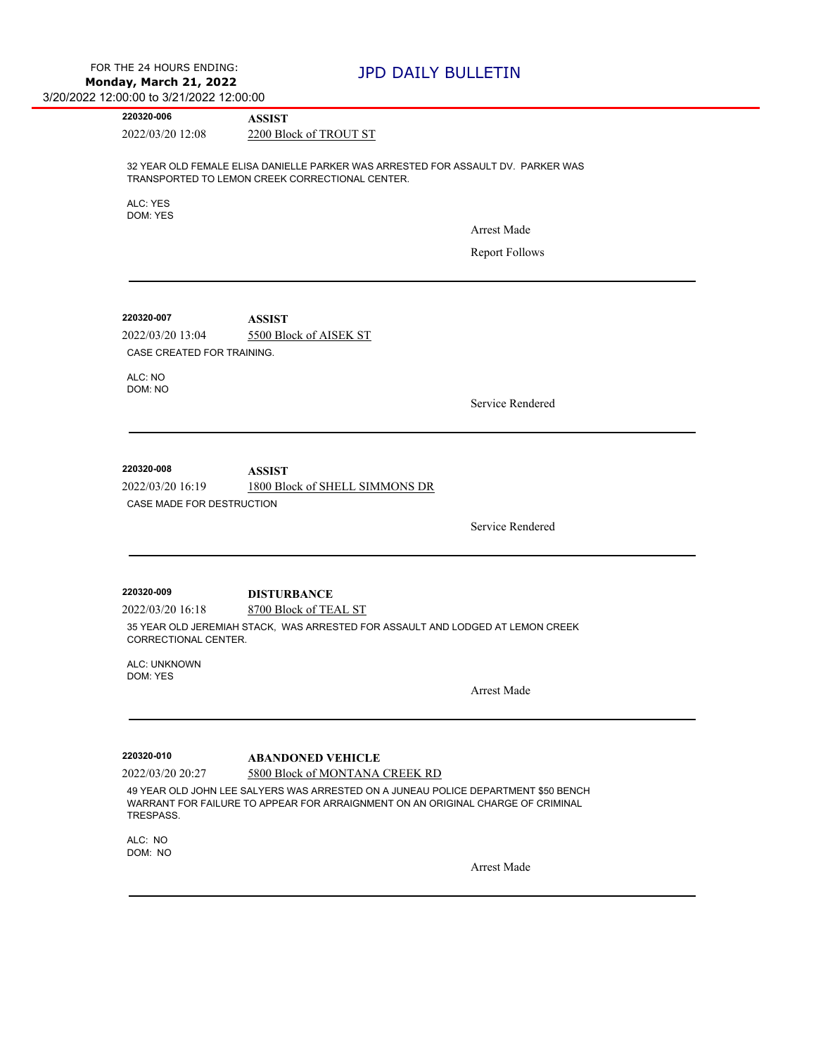| 220320-006                 | <b>ASSIST</b>                                                                                                                                                         |
|----------------------------|-----------------------------------------------------------------------------------------------------------------------------------------------------------------------|
| 2022/03/20 12:08           | 2200 Block of TROUT ST                                                                                                                                                |
|                            | 32 YEAR OLD FEMALE ELISA DANIELLE PARKER WAS ARRESTED FOR ASSAULT DV. PARKER WAS<br>TRANSPORTED TO LEMON CREEK CORRECTIONAL CENTER.                                   |
| ALC: YES                   |                                                                                                                                                                       |
| DOM: YES                   |                                                                                                                                                                       |
|                            | Arrest Made                                                                                                                                                           |
|                            | <b>Report Follows</b>                                                                                                                                                 |
|                            |                                                                                                                                                                       |
| 220320-007                 | <b>ASSIST</b>                                                                                                                                                         |
| 2022/03/20 13:04           | 5500 Block of AISEK ST                                                                                                                                                |
| CASE CREATED FOR TRAINING. |                                                                                                                                                                       |
| ALC: NO                    |                                                                                                                                                                       |
| DOM: NO                    | Service Rendered                                                                                                                                                      |
|                            |                                                                                                                                                                       |
|                            |                                                                                                                                                                       |
| 220320-008                 | <b>ASSIST</b>                                                                                                                                                         |
| 2022/03/20 16:19           | 1800 Block of SHELL SIMMONS DR                                                                                                                                        |
| CASE MADE FOR DESTRUCTION  |                                                                                                                                                                       |
|                            | Service Rendered                                                                                                                                                      |
|                            |                                                                                                                                                                       |
|                            |                                                                                                                                                                       |
| 220320-009                 | <b>DISTURBANCE</b>                                                                                                                                                    |
| 2022/03/20 16:18           | 8700 Block of TEAL ST                                                                                                                                                 |
| CORRECTIONAL CENTER.       | 35 YEAR OLD JEREMIAH STACK, WAS ARRESTED FOR ASSAULT AND LODGED AT LEMON CREEK                                                                                        |
| <b>ALC: UNKNOWN</b>        |                                                                                                                                                                       |
| DOM: YES                   | Arrest Made                                                                                                                                                           |
|                            |                                                                                                                                                                       |
|                            |                                                                                                                                                                       |
| 220320-010                 | <b>ABANDONED VEHICLE</b>                                                                                                                                              |
| 2022/03/20 20:27           | 5800 Block of MONTANA CREEK RD                                                                                                                                        |
| TRESPASS.                  | 49 YEAR OLD JOHN LEE SALYERS WAS ARRESTED ON A JUNEAU POLICE DEPARTMENT \$50 BENCH<br>WARRANT FOR FAILURE TO APPEAR FOR ARRAIGNMENT ON AN ORIGINAL CHARGE OF CRIMINAL |
|                            |                                                                                                                                                                       |
| ALC: NO<br>DOM: NO         |                                                                                                                                                                       |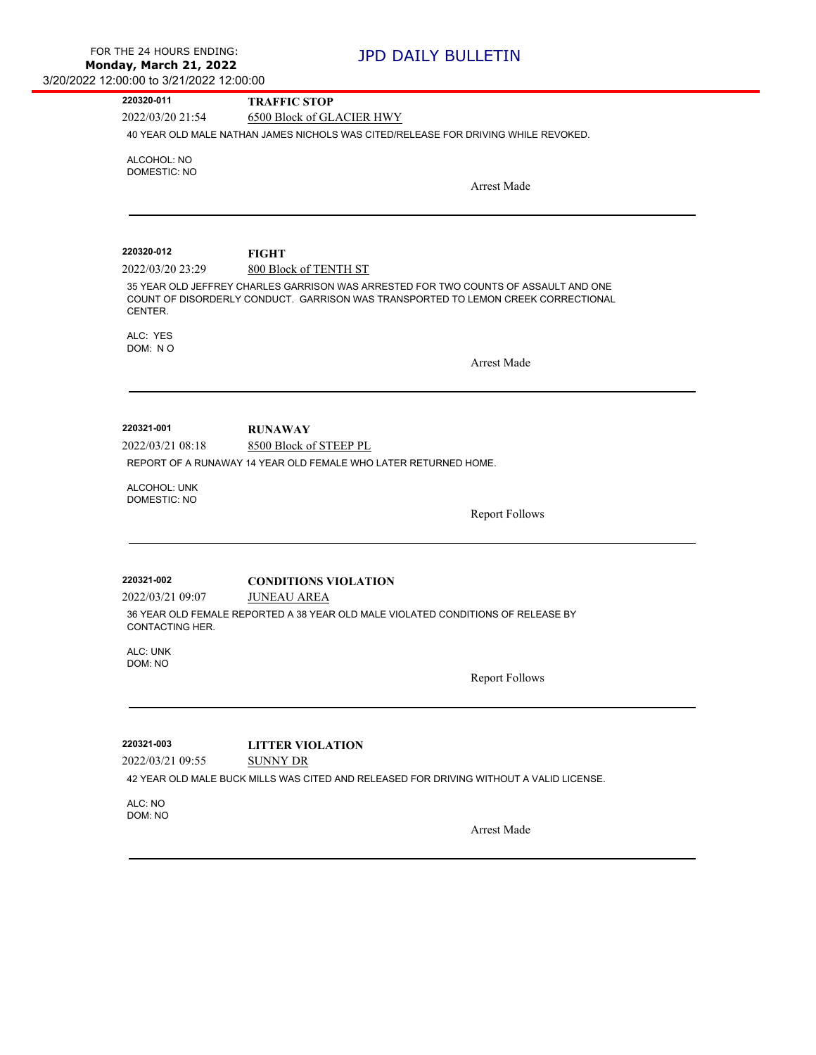| 220320-011                                                                         | <b>TRAFFIC STOP</b>                                                                                                                                                      |  |
|------------------------------------------------------------------------------------|--------------------------------------------------------------------------------------------------------------------------------------------------------------------------|--|
| 2022/03/20 21:54                                                                   | 6500 Block of GLACIER HWY                                                                                                                                                |  |
|                                                                                    |                                                                                                                                                                          |  |
| 40 YEAR OLD MALE NATHAN JAMES NICHOLS WAS CITED/RELEASE FOR DRIVING WHILE REVOKED. |                                                                                                                                                                          |  |
| ALCOHOL: NO                                                                        |                                                                                                                                                                          |  |
| <b>DOMESTIC: NO</b>                                                                |                                                                                                                                                                          |  |
|                                                                                    | <b>Arrest Made</b>                                                                                                                                                       |  |
|                                                                                    |                                                                                                                                                                          |  |
|                                                                                    |                                                                                                                                                                          |  |
|                                                                                    |                                                                                                                                                                          |  |
| 220320-012                                                                         | <b>FIGHT</b>                                                                                                                                                             |  |
| 2022/03/20 23:29                                                                   | 800 Block of TENTH ST                                                                                                                                                    |  |
| CENTER.                                                                            | 35 YEAR OLD JEFFREY CHARLES GARRISON WAS ARRESTED FOR TWO COUNTS OF ASSAULT AND ONE<br>COUNT OF DISORDERLY CONDUCT. GARRISON WAS TRANSPORTED TO LEMON CREEK CORRECTIONAL |  |
|                                                                                    |                                                                                                                                                                          |  |
| ALC: YES<br>DOM: NO                                                                |                                                                                                                                                                          |  |
|                                                                                    | <b>Arrest Made</b>                                                                                                                                                       |  |
|                                                                                    |                                                                                                                                                                          |  |
|                                                                                    |                                                                                                                                                                          |  |
|                                                                                    |                                                                                                                                                                          |  |
| 220321-001                                                                         | <b>RUNAWAY</b>                                                                                                                                                           |  |
| 2022/03/21 08:18                                                                   | 8500 Block of STEEP PL                                                                                                                                                   |  |
|                                                                                    | REPORT OF A RUNAWAY 14 YEAR OLD FEMALE WHO LATER RETURNED HOME.                                                                                                          |  |
|                                                                                    |                                                                                                                                                                          |  |
| ALCOHOL: UNK<br>DOMESTIC: NO                                                       |                                                                                                                                                                          |  |
|                                                                                    | <b>Report Follows</b>                                                                                                                                                    |  |
|                                                                                    |                                                                                                                                                                          |  |
|                                                                                    |                                                                                                                                                                          |  |
|                                                                                    |                                                                                                                                                                          |  |
| 220321-002                                                                         | <b>CONDITIONS VIOLATION</b>                                                                                                                                              |  |
| 2022/03/21 09:07                                                                   | <b>JUNEAU AREA</b>                                                                                                                                                       |  |
| CONTACTING HER.                                                                    | 36 YEAR OLD FEMALE REPORTED A 38 YEAR OLD MALE VIOLATED CONDITIONS OF RELEASE BY                                                                                         |  |
| ALC: UNK                                                                           |                                                                                                                                                                          |  |
| DOM: NO                                                                            |                                                                                                                                                                          |  |
|                                                                                    | <b>Report Follows</b>                                                                                                                                                    |  |
|                                                                                    |                                                                                                                                                                          |  |
|                                                                                    |                                                                                                                                                                          |  |
|                                                                                    |                                                                                                                                                                          |  |
| 220321-003                                                                         | <b>LITTER VIOLATION</b>                                                                                                                                                  |  |
| 2022/03/21 09:55                                                                   | <b>SUNNY DR</b>                                                                                                                                                          |  |
|                                                                                    | 42 YEAR OLD MALE BUCK MILLS WAS CITED AND RELEASED FOR DRIVING WITHOUT A VALID LICENSE.                                                                                  |  |
| ALC: NO                                                                            |                                                                                                                                                                          |  |
| DOM: NO                                                                            |                                                                                                                                                                          |  |
|                                                                                    | <b>Arrest Made</b>                                                                                                                                                       |  |
|                                                                                    |                                                                                                                                                                          |  |